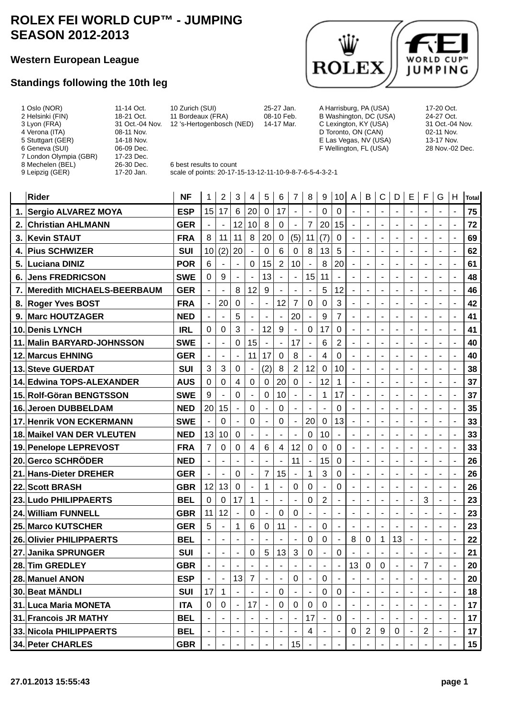### **Western European League**

#### **Standings following the 10th leg**



| 1 Oslo (NOR)           | 11-14 Oct.      | 10 Zurich (SUI)                                         | 25-27 Jan. | A Harrisburg, PA (USA) | 17-20 Oct.      |
|------------------------|-----------------|---------------------------------------------------------|------------|------------------------|-----------------|
| 2 Helsinki (FIN)       | 18-21 Oct.      | 11 Bordeaux (FRA)                                       | 08-10 Feb. | B Washington, DC (USA) | 24-27 Oct.      |
| 3 Lyon (FRA)           | 31 Oct.-04 Nov. | 12 's-Hertogenbosch (NED)                               | 14-17 Mar. | C Lexington, KY (USA)  | 31 Oct.-04 Nov. |
| 4 Verona (ITA)         | 08-11 Nov.      |                                                         |            | D Toronto, ON (CAN)    | 02-11 Nov.      |
| 5 Stuttgart (GER)      | 14-18 Nov.      |                                                         |            | E Las Vegas, NV (USA)  | 13-17 Nov.      |
| 6 Geneva (SUI)         | 06-09 Dec.      |                                                         |            | F Wellington, FL (USA) | 28 Nov.-02 Dec. |
| 7 London Olympia (GBR) | 17-23 Dec.      |                                                         |            |                        |                 |
| 8 Mechelen (BEL)       | 26-30 Dec.      | 6 best results to count                                 |            |                        |                 |
| 9 Leipzig (GER)        | 17-20 Jan.      | scale of points: 20-17-15-13-12-11-10-9-8-7-6-5-4-3-2-1 |            |                        |                 |

ipzig (GER) 17-20 Jan. scale of points: 20-17-15-13-12-11-10-9-8-7-6-5-4-3-2-1

|     | <b>Rider</b>                      | <b>NF</b>  | 1                        | $\overline{c}$           | 3                            | 4                            | 5                        | 6                        | 7                            | 8                            | 9              | 10                       | A                            | B                            | C                        | D                        | E                        | F                        | G                        | Н              | <b>Total</b> |
|-----|-----------------------------------|------------|--------------------------|--------------------------|------------------------------|------------------------------|--------------------------|--------------------------|------------------------------|------------------------------|----------------|--------------------------|------------------------------|------------------------------|--------------------------|--------------------------|--------------------------|--------------------------|--------------------------|----------------|--------------|
| 1.  | <b>Sergio ALVAREZ MOYA</b>        | <b>ESP</b> | 15                       | 17                       | $6\phantom{1}$               | 20                           | 0                        | 17                       | $\blacksquare$               | $\overline{\phantom{a}}$     | 0              | 0                        | -                            | $\overline{\phantom{m}}$     | $\overline{a}$           | $\overline{\phantom{a}}$ |                          |                          | $\overline{\phantom{a}}$ | ÷,             | 75           |
| 2.  | <b>Christian AHLMANN</b>          | <b>GER</b> | $\overline{\phantom{a}}$ | $\overline{\phantom{a}}$ | 12                           | 10                           | 8                        | $\mathbf 0$              | $\blacksquare$               | 7                            | 20             | 15                       | $\overline{\phantom{a}}$     |                              | $\overline{a}$           | $\overline{\phantom{a}}$ | $\overline{\phantom{a}}$ |                          | $\overline{\phantom{a}}$ |                | 72           |
| 3.  | <b>Kevin STAUT</b>                | <b>FRA</b> | 8                        | 11                       | 11                           | 8                            | 20                       | 0                        | (5)                          | 11                           | (7)            | $\mathbf 0$              | $\overline{\phantom{a}}$     | $\overline{\phantom{a}}$     | $\overline{\phantom{a}}$ | $\blacksquare$           | $\blacksquare$           | $\blacksquare$           | $\overline{\phantom{a}}$ | $\blacksquare$ | 69           |
| 4.  | <b>Pius SCHWIZER</b>              | <b>SUI</b> | 10                       | (2)                      | 20                           | $\blacksquare$               | $\mathbf 0$              | 6                        | $\mathbf 0$                  | 8                            | 13             | 5                        | $\overline{\phantom{a}}$     | $\overline{a}$               | $\blacksquare$           | $\blacksquare$           |                          |                          | ٠                        |                | 62           |
| 5.  | <b>Luciana DINIZ</b>              | <b>POR</b> | 6                        | $\overline{\phantom{a}}$ | $\overline{\phantom{a}}$     | 0                            | 15                       | $\overline{2}$           | 10                           | $\overline{\phantom{a}}$     | 8              | 20                       | ä,                           | $\overline{\phantom{m}}$     | $\blacksquare$           | $\overline{\phantom{a}}$ | ۰                        | ۰                        | $\blacksquare$           | $\blacksquare$ | 61           |
| 6.  | <b>Jens FREDRICSON</b>            | <b>SWE</b> | 0                        | 9                        |                              | $\overline{a}$               | 13                       |                          |                              | 15                           | 11             |                          |                              |                              | ٠                        | ÷                        |                          |                          | $\overline{a}$           |                | 48           |
| 7.  | <b>Meredith MICHAELS-BEERBAUM</b> | <b>GER</b> |                          |                          | 8                            | 12                           | 9                        |                          | $\blacksquare$               | $\blacksquare$               | 5              | 12                       | Ĭ.                           | ٠                            | ÷                        | $\blacksquare$           |                          |                          | $\blacksquare$           | Ĩ.             | 46           |
| 8.  | <b>Roger Yves BOST</b>            | <b>FRA</b> | $\overline{\phantom{a}}$ | 20                       | 0                            |                              | $\overline{\phantom{a}}$ | 12                       | $\overline{7}$               | $\Omega$                     | 0              | 3                        | ٠                            | $\overline{a}$               | $\overline{\phantom{a}}$ | $\overline{\phantom{a}}$ |                          |                          | $\overline{\phantom{a}}$ |                | 42           |
| 9.  | <b>Marc HOUTZAGER</b>             | <b>NED</b> |                          |                          | 5                            | $\blacksquare$               | $\overline{\phantom{a}}$ | $\blacksquare$           | 20                           |                              | 9              | 7                        | $\overline{\phantom{a}}$     | $\overline{\phantom{a}}$     | $\overline{\phantom{a}}$ | $\overline{\phantom{a}}$ | $\overline{\phantom{a}}$ |                          | $\overline{\phantom{a}}$ |                | 41           |
|     | 10. Denis LYNCH                   | <b>IRL</b> | 0                        | 0                        | 3                            | $\blacksquare$               | 12                       | 9                        | $\blacksquare$               | 0                            | 17             | 0                        | $\qquad \qquad \blacksquare$ | $\blacksquare$               | $\overline{\phantom{a}}$ | $\blacksquare$           | $\blacksquare$           | $\overline{\phantom{a}}$ | $\overline{\phantom{a}}$ | ٠              | 41           |
| 11. | <b>Malin BARYARD-JOHNSSON</b>     | <b>SWE</b> | $\blacksquare$           | $\overline{\phantom{a}}$ | $\mathbf 0$                  | 15                           |                          |                          | 17                           | $\overline{\phantom{a}}$     | 6              | $\overline{2}$           | $\overline{\phantom{a}}$     | $\blacksquare$               | $\overline{\phantom{0}}$ | $\blacksquare$           |                          |                          | $\overline{\phantom{a}}$ |                | 40           |
|     | <b>12. Marcus EHNING</b>          | <b>GER</b> | $\blacksquare$           | $\overline{\phantom{0}}$ | $\overline{\phantom{a}}$     | 11                           | 17                       | $\pmb{0}$                | 8                            | $\overline{\phantom{a}}$     | 4              | $\mathbf 0$              | $\overline{\phantom{a}}$     | $\overline{\phantom{m}}$     | $\overline{\phantom{a}}$ | $\blacksquare$           | ۰                        |                          | $\overline{\phantom{a}}$ | $\overline{a}$ | 40           |
|     | 13. Steve GUERDAT                 | <b>SUI</b> | 3                        | 3                        | 0                            | $\qquad \qquad \blacksquare$ | (2)                      | 8                        | $\overline{2}$               | 12                           | 0              | 10                       |                              |                              |                          | ×,                       |                          |                          |                          |                | 38           |
|     | 14. Edwina TOPS-ALEXANDER         | <b>AUS</b> | 0                        | 0                        | 4                            | 0                            | $\mathbf 0$              | 20                       | $\mathbf 0$                  | $\overline{a}$               | 12             | 1                        | $\blacksquare$               | ٠                            | ٠                        | $\overline{\phantom{a}}$ |                          |                          | $\blacksquare$           | ÷,             | 37           |
| 15. | <b>Rolf-Göran BENGTSSON</b>       | <b>SWE</b> | 9                        |                          | $\mathbf 0$                  | $\qquad \qquad \blacksquare$ | 0                        | 10                       | $\blacksquare$               | $\qquad \qquad \blacksquare$ | 1              | 17                       |                              | ÷                            | $\blacksquare$           | $\blacksquare$           |                          |                          | $\overline{\phantom{a}}$ |                | 37           |
|     | 16. Jeroen DUBBELDAM              | <b>NED</b> | 20                       | 15                       | $\blacksquare$               | 0                            |                          | 0                        | $\qquad \qquad \blacksquare$ |                              |                | $\mathbf 0$              | $\blacksquare$               | $\overline{a}$               |                          | $\overline{\phantom{a}}$ |                          |                          | $\overline{\phantom{a}}$ |                | 35           |
|     | <b>17. Henrik VON ECKERMANN</b>   | <b>SWE</b> |                          | 0                        | $\qquad \qquad \blacksquare$ | 0                            | $\blacksquare$           | 0                        | $\blacksquare$               | 20                           | 0              | 13                       | $\blacksquare$               | $\qquad \qquad \blacksquare$ | $\overline{\phantom{a}}$ | $\blacksquare$           | $\overline{\phantom{a}}$ | $\overline{\phantom{a}}$ | $\blacksquare$           | ÷,             | 33           |
|     | <b>18. Maikel VAN DER VLEUTEN</b> | <b>NED</b> | 13                       | 10                       | 0                            | $\blacksquare$               | $\overline{\phantom{a}}$ | $\blacksquare$           | $\overline{a}$               | $\mathbf 0$                  | 10             | $\overline{\phantom{a}}$ | $\overline{\phantom{a}}$     | $\overline{\phantom{a}}$     | $\blacksquare$           | $\overline{\phantom{a}}$ |                          | $\blacksquare$           | $\blacksquare$           |                | 33           |
|     | 19. Penelope LEPREVOST            | <b>FRA</b> | $\overline{7}$           | 0                        | 0                            | 4                            | 6                        | 4                        | 12                           | $\mathbf 0$                  | 0              | $\mathbf 0$              | $\blacksquare$               | $\overline{\phantom{m}}$     | $\overline{\phantom{a}}$ | $\blacksquare$           | ٠                        | ۰                        | $\overline{\phantom{a}}$ | ×,             | 33           |
| 20. | <b>Gerco SCHRÖDER</b>             | <b>NED</b> |                          |                          |                              | ä,                           |                          |                          | 11                           | $\overline{\phantom{a}}$     | 15             | $\boldsymbol{0}$         | $\overline{\phantom{a}}$     | $\blacksquare$               | ٠                        | $\overline{\phantom{a}}$ |                          |                          | $\blacksquare$           | ×,             | 26           |
|     | 21. Hans-Dieter DREHER            | <b>GER</b> |                          |                          | 0                            | $\blacksquare$               | 7                        | 15                       | $\overline{\phantom{a}}$     | 1                            | 3              | 0                        | ÷,                           | ٠                            | ÷,                       | $\overline{\phantom{a}}$ |                          |                          | $\overline{\phantom{a}}$ | J.             | 26           |
|     | 22. Scott BRASH                   | <b>GBR</b> | 12                       | 13                       | 0                            | -                            | 1                        | $\overline{\phantom{a}}$ | 0                            | 0                            |                | 0                        | -                            |                              |                          | ÷                        |                          |                          |                          |                | 26           |
|     | 23. Ludo PHILIPPAERTS             | <b>BEL</b> | 0                        | 0                        | 17                           | 1                            | $\overline{\phantom{a}}$ | $\overline{\phantom{a}}$ | $\overline{\phantom{a}}$     | 0                            | $\overline{2}$ |                          | $\overline{\phantom{a}}$     |                              |                          | $\overline{\phantom{a}}$ |                          | 3                        | $\blacksquare$           |                | 23           |
|     | 24. William FUNNELL               | <b>GBR</b> | 11                       | 12                       | ۰                            | 0                            | $\overline{\phantom{a}}$ | 0                        | 0                            | $\overline{\phantom{a}}$     | ٠              | $\blacksquare$           | $\blacksquare$               | $\overline{\phantom{a}}$     | $\overline{\phantom{a}}$ | $\overline{\phantom{a}}$ | $\blacksquare$           | ۰                        | $\blacksquare$           |                | 23           |
|     | 25. Marco KUTSCHER                | <b>GER</b> | 5                        | $\overline{\phantom{a}}$ | 1                            | 6                            | $\mathbf 0$              | 11                       | $\blacksquare$               | $\overline{\phantom{a}}$     | 0              | $\blacksquare$           | $\overline{\phantom{a}}$     | $\overline{\phantom{m}}$     | $\blacksquare$           | $\blacksquare$           | $\blacksquare$           | $\blacksquare$           | $\blacksquare$           |                | 23           |
|     | 26. Olivier PHILIPPAERTS          | <b>BEL</b> | $\blacksquare$           | -                        | $\overline{\phantom{a}}$     | $\blacksquare$               | $\overline{\phantom{a}}$ | $\blacksquare$           | $\overline{\phantom{a}}$     | $\mathbf 0$                  | 0              | $\blacksquare$           | 8                            | 0                            | 1                        | 13                       | $\overline{\phantom{a}}$ | $\overline{\phantom{a}}$ | $\overline{\phantom{a}}$ | $\overline{a}$ | 22           |
| 27. | <b>Janika SPRUNGER</b>            | <b>SUI</b> |                          |                          |                              | 0                            | 5                        | 13                       | 3                            | $\mathbf 0$                  |                | 0                        |                              |                              |                          | $\blacksquare$           |                          |                          |                          | ٠              | 21           |
|     | 28. Tim GREDLEY                   | <b>GBR</b> |                          |                          |                              |                              |                          |                          |                              |                              |                |                          | 13                           | 0                            | 0                        |                          |                          | $\overline{7}$           |                          |                | 20           |
|     | 28. Manuel ANON                   | <b>ESP</b> |                          |                          | 13                           | $\overline{7}$               |                          |                          | $\mathbf 0$                  |                              | 0              |                          |                              |                              |                          |                          |                          |                          |                          |                | 20           |
|     | 30. Beat MÄNDLI                   | <b>SUI</b> | 17                       |                          |                              |                              |                          | 0                        |                              |                              | 0              | $\mathbf 0$              |                              |                              |                          |                          |                          |                          |                          |                | 18           |
|     | 31. Luca Maria MONETA             | <b>ITA</b> | 0                        | 0                        |                              | 17                           |                          | 0                        | 0                            | 0                            | 0              |                          |                              |                              |                          |                          |                          |                          |                          |                | 17           |
|     | 31. Francois JR MATHY             | <b>BEL</b> |                          |                          |                              |                              |                          |                          | $\qquad \qquad \blacksquare$ | 17                           |                | $\mathbf 0$              |                              |                              |                          |                          |                          |                          |                          |                | 17           |
|     | 33. Nicola PHILIPPAERTS           | <b>BEL</b> |                          |                          |                              |                              |                          |                          |                              | 4                            |                |                          | 0                            | $\overline{c}$               | 9                        | 0                        |                          | $\overline{2}$           | $\overline{\phantom{a}}$ |                | 17           |
|     | 34. Peter CHARLES                 | <b>GBR</b> |                          |                          |                              |                              |                          |                          | 15                           |                              |                |                          |                              |                              |                          |                          |                          |                          |                          |                | 15           |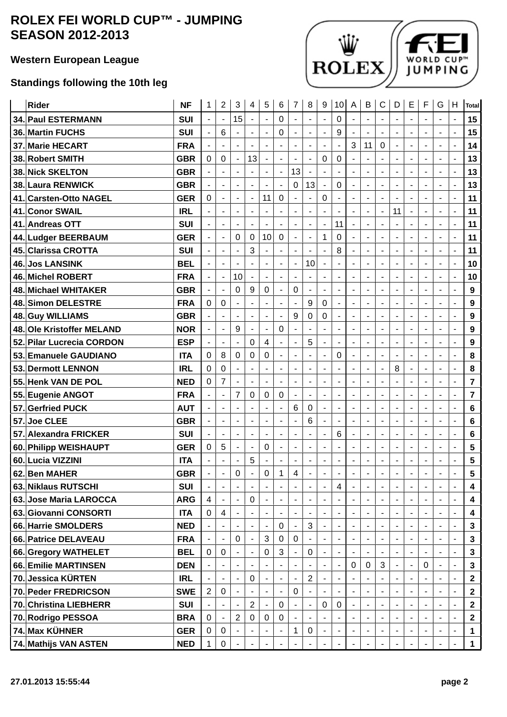### **Western European League**

## **Standings following the 10th leg**



|      | <b>Rider</b>                 | <b>NF</b>  | 1                            | $\overline{2}$           | 3                        | $\overline{\mathbf{4}}$      | 5                            | 6                        | 7                        | 8                            | 9                        | 10                       | A                            | B                        | C                            | D                            | E                        | F                        | G                        | H                        | <b>Total</b> |
|------|------------------------------|------------|------------------------------|--------------------------|--------------------------|------------------------------|------------------------------|--------------------------|--------------------------|------------------------------|--------------------------|--------------------------|------------------------------|--------------------------|------------------------------|------------------------------|--------------------------|--------------------------|--------------------------|--------------------------|--------------|
|      | 34. Paul ESTERMANN           | <b>SUI</b> | $\blacksquare$               |                          | 15                       | ÷,                           |                              | 0                        | ۰                        | L,                           |                          | 0                        |                              |                          |                              | ٠                            |                          |                          |                          |                          | 15           |
|      | 36. Martin FUCHS             | <b>SUI</b> | $\blacksquare$               | 6                        | $\blacksquare$           | ÷                            | $\overline{\phantom{a}}$     | 0                        | $\overline{\phantom{a}}$ | ÷,                           | $\overline{a}$           | 9                        |                              | $\overline{\phantom{a}}$ | ۰                            | $\blacksquare$               |                          |                          | $\overline{\phantom{a}}$ | ÷                        | 15           |
| 37.  | <b>Marie HECART</b>          | <b>FRA</b> | $\overline{\phantom{a}}$     |                          |                          |                              |                              | ٠                        | $\overline{a}$           | ۰                            |                          |                          | 3                            | 11                       | 0                            | ÷                            |                          |                          | $\overline{\phantom{a}}$ | ٠                        | 14           |
|      | 38. Robert SMITH             | <b>GBR</b> | 0                            | $\mathbf 0$              |                          | 13                           |                              | $\overline{a}$           | $\overline{\phantom{a}}$ | ÷                            | 0                        | 0                        |                              | $\overline{\phantom{a}}$ |                              | ÷                            |                          |                          |                          |                          | 13           |
| 38.  | <b>Nick SKELTON</b>          | <b>GBR</b> | $\overline{\phantom{a}}$     | $\overline{a}$           |                          |                              |                              | $\blacksquare$           | 13                       |                              | ۰                        |                          |                              |                          | ٠                            | ۰                            |                          |                          |                          | -                        | 13           |
|      | 38. Laura RENWICK            | <b>GBR</b> | $\overline{\phantom{a}}$     |                          |                          | $\overline{\phantom{a}}$     | $\overline{a}$               | $\blacksquare$           | 0                        | 13                           |                          | 0                        | $\qquad \qquad \blacksquare$ | $\overline{\phantom{a}}$ | $\overline{\phantom{a}}$     | $\qquad \qquad \blacksquare$ | $\overline{\phantom{a}}$ |                          | $\overline{\phantom{a}}$ | $\overline{a}$           | 13           |
| 41.  | <b>Carsten-Otto NAGEL</b>    | <b>GER</b> | 0                            | $\overline{\phantom{a}}$ | $\overline{\phantom{0}}$ | $\blacksquare$               | 11                           | $\pmb{0}$                | $\overline{\phantom{a}}$ | $\blacksquare$               | 0                        | ÷                        | $\overline{\phantom{a}}$     | $\overline{\phantom{a}}$ | $\qquad \qquad \blacksquare$ | $\overline{\phantom{a}}$     | $\overline{\phantom{a}}$ | $\blacksquare$           | $\overline{\phantom{a}}$ | $\overline{\phantom{a}}$ | 11           |
| 41.  | <b>Conor SWAIL</b>           | <b>IRL</b> | $\blacksquare$               | ۰                        |                          | $\blacksquare$               |                              | $\tilde{\phantom{a}}$    | ٠                        | $\blacksquare$               |                          |                          |                              |                          | ÷,                           | 11                           |                          |                          | $\overline{\phantom{a}}$ |                          | 11           |
|      | 41. Andreas OTT              | <b>SUI</b> | $\overline{\phantom{a}}$     | $\overline{a}$           | $\overline{a}$           | $\overline{\phantom{a}}$     | $\overline{\phantom{a}}$     | $\overline{\phantom{a}}$ | $\overline{\phantom{a}}$ | $\overline{\phantom{a}}$     | ÷                        | 11                       | $\overline{\phantom{a}}$     | $\overline{\phantom{a}}$ | $\overline{\phantom{a}}$     | ÷                            | ٠                        |                          | $\overline{\phantom{a}}$ | $\overline{\phantom{a}}$ | 11           |
|      | 44. Ludger BEERBAUM          | <b>GER</b> | ٠                            |                          | 0                        | $\mathbf 0$                  | 10                           | $\mathbf 0$              | ÷                        | ۰                            | 1                        | 0                        |                              | ٠                        | ۰                            | $\overline{a}$               |                          |                          | $\overline{a}$           | ۰                        | 11           |
|      | 45. Clarissa CROTTA          | <b>SUI</b> | $\blacksquare$               | ÷                        | ٠                        | 3                            | $\blacksquare$               | $\blacksquare$           | ÷                        |                              |                          | 8                        | ÷                            | ٠                        | -                            | ٠                            |                          |                          | ÷                        | ٠                        | 11           |
| 46.  | <b>Jos LANSINK</b>           | <b>BEL</b> | $\qquad \qquad \blacksquare$ | $\overline{a}$           |                          |                              |                              | $\overline{\phantom{a}}$ | $\blacksquare$           | 10                           |                          |                          |                              | ٠                        | ٠                            | $\overline{a}$               | ٠                        |                          | ÷                        | ٠                        | 10           |
|      | <b>46. Michel ROBERT</b>     | <b>FRA</b> | ä,                           | $\overline{\phantom{a}}$ | 10                       | $\blacksquare$               |                              | $\overline{\phantom{a}}$ | $\overline{\phantom{a}}$ |                              |                          |                          |                              |                          |                              | $\overline{a}$               |                          |                          | $\overline{\phantom{a}}$ | ٠                        | 10           |
| 48.  | <b>Michael WHITAKER</b>      | <b>GBR</b> | $\overline{\phantom{a}}$     | $\overline{\phantom{a}}$ | 0                        | 9                            | 0                            | $\blacksquare$           | 0                        | $\overline{\phantom{a}}$     | $\blacksquare$           | $\overline{\phantom{a}}$ | $\overline{\phantom{a}}$     | $\overline{\phantom{a}}$ | ۰                            | $\qquad \qquad \blacksquare$ | $\overline{\phantom{a}}$ | $\overline{\phantom{a}}$ | $\blacksquare$           | ۰                        | 9            |
| 48.  | <b>Simon DELESTRE</b>        | <b>FRA</b> | 0                            | 0                        | ÷                        | ٠                            | $\overline{\phantom{a}}$     | $\overline{a}$           | $\overline{\phantom{a}}$ | 9                            | 0                        | ÷                        | $\blacksquare$               | $\overline{\phantom{a}}$ | $\qquad \qquad \blacksquare$ | ÷                            | ٠                        |                          | $\overline{\phantom{a}}$ |                          | 9            |
|      | 48. Guy WILLIAMS             | <b>GBR</b> | ä,                           | $\blacksquare$           | $\blacksquare$           | $\blacksquare$               | $\overline{\phantom{a}}$     | $\blacksquare$           | 9                        | 0                            | 0                        | $\blacksquare$           | ä,                           | ٠                        | ۰                            | $\blacksquare$               | ٠                        |                          | $\blacksquare$           | ٠                        | 9            |
| 48.  | <b>Ole Kristoffer MELAND</b> | <b>NOR</b> |                              |                          | 9                        | $\overline{\phantom{a}}$     | ÷                            | 0                        |                          |                              |                          |                          |                              | ٠                        |                              | ÷                            |                          |                          |                          |                          | 9            |
|      | 52. Pilar Lucrecia CORDON    | <b>ESP</b> |                              |                          |                          | 0                            | 4                            | $\blacksquare$           | $\overline{\phantom{a}}$ | 5                            |                          |                          |                              | ÷                        | ÷                            | ÷                            |                          |                          |                          | ä,                       | 9            |
| 53.  | <b>Emanuele GAUDIANO</b>     | <b>ITA</b> | 0                            | 8                        | 0                        | 0                            | 0                            | $\overline{\phantom{a}}$ | ٠                        | -                            | $\overline{a}$           | 0                        |                              | ٠                        | -                            | $\overline{a}$               |                          |                          |                          |                          | 8            |
|      | 53. Dermott LENNON           | <b>IRL</b> | 0                            | 0                        | $\overline{\phantom{m}}$ | ٠                            |                              | $\overline{\phantom{a}}$ | ٠                        | $\overline{\phantom{a}}$     |                          |                          |                              | $\overline{\phantom{a}}$ | ٠                            | 8                            |                          |                          | $\overline{\phantom{a}}$ |                          | 8            |
|      | 55. Henk VAN DE POL          | <b>NED</b> | 0                            | 7                        | $\overline{\phantom{m}}$ | $\overline{\phantom{a}}$     | $\qquad \qquad \blacksquare$ | $\blacksquare$           | $\overline{\phantom{a}}$ | $\qquad \qquad \blacksquare$ | $\overline{\phantom{a}}$ | $\overline{\phantom{a}}$ | $\qquad \qquad \blacksquare$ | $\overline{\phantom{a}}$ | $\overline{\phantom{a}}$     | ÷                            | $\overline{\phantom{a}}$ |                          | $\overline{a}$           | ٠                        | 7            |
|      | 55. Eugenie ANGOT            | <b>FRA</b> | ä,                           | $\blacksquare$           | 7                        | 0                            | 0                            | 0                        | $\overline{\phantom{a}}$ | $\overline{\phantom{a}}$     | ÷                        | $\blacksquare$           | $\blacksquare$               | $\overline{\phantom{a}}$ | $\qquad \qquad \blacksquare$ | $\overline{\phantom{a}}$     | ٠                        |                          | $\blacksquare$           | ۰                        | 7            |
| 57.  | <b>Gerfried PUCK</b>         | <b>AUT</b> | $\overline{\phantom{a}}$     | $\blacksquare$           | $\blacksquare$           | $\blacksquare$               | $\blacksquare$               | $\blacksquare$           | 6                        | 0                            | $\overline{\phantom{a}}$ | $\blacksquare$           | $\blacksquare$               | $\overline{\phantom{a}}$ | $\blacksquare$               | $\blacksquare$               | ٠                        |                          | $\blacksquare$           | $\overline{\phantom{a}}$ | 6            |
| 57.I | <b>Joe CLEE</b>              | <b>GBR</b> | $\overline{\phantom{a}}$     | $\overline{a}$           |                          | $\overline{\phantom{a}}$     |                              | $\overline{\phantom{a}}$ | $\overline{\phantom{a}}$ | 6                            |                          |                          |                              | $\overline{\phantom{a}}$ | ۰                            | $\overline{a}$               |                          |                          | $\overline{\phantom{a}}$ | ٠                        | 6            |
|      | 57. Alexandra FRICKER        | <b>SUI</b> |                              |                          |                          | $\overline{\phantom{a}}$     |                              | $\overline{a}$           | $\overline{\phantom{a}}$ | ÷                            |                          | 6                        | ÷                            | ٠                        | ۰                            | ÷                            |                          |                          | $\overline{a}$           | ۰                        | 6            |
|      | 60. Philipp WEISHAUPT        | <b>GER</b> | 0                            | 5                        | ٠                        | $\qquad \qquad \blacksquare$ | 0                            | $\blacksquare$           | ۰                        | $\overline{\phantom{a}}$     |                          |                          | $\overline{a}$               | ٠                        | -                            | ٠                            |                          | $\overline{a}$           | ۰                        | -                        | 5            |
|      | 60. Lucia VIZZINI            | <b>ITA</b> |                              |                          |                          | 5                            |                              | $\overline{a}$           | $\overline{\phantom{a}}$ | $\overline{a}$               |                          |                          |                              | ٠                        | ٠                            | $\overline{a}$               |                          |                          |                          | ٠                        | 5            |
|      | 62. Ben MAHER                | <b>GBR</b> |                              |                          | 0                        |                              | 0                            | 1                        | 4                        |                              |                          |                          |                              |                          |                              |                              |                          |                          |                          |                          | 5            |
|      | 63. Niklaus RUTSCHI          | <b>SUI</b> | $\overline{\phantom{a}}$     |                          |                          | $\overline{\phantom{a}}$     |                              |                          |                          |                              |                          | 4                        | $\blacksquare$               |                          |                              |                              |                          |                          | $\overline{\phantom{a}}$ | $\overline{\phantom{a}}$ | 4            |
|      | 63. Jose Maria LAROCCA       | <b>ARG</b> | $\overline{4}$               |                          |                          | $\mathbf 0$                  |                              | $\blacksquare$           |                          |                              |                          |                          |                              |                          |                              |                              |                          |                          |                          |                          | 4            |
|      | 63. Giovanni CONSORTI        | <b>ITA</b> | $\mathbf 0$                  | 4                        |                          |                              |                              |                          |                          |                              |                          |                          |                              |                          |                              |                              |                          |                          |                          |                          | 4            |
|      | 66. Harrie SMOLDERS          | <b>NED</b> |                              |                          |                          |                              |                              | 0                        |                          | 3                            |                          |                          |                              |                          |                              |                              |                          |                          |                          |                          | 3            |
|      | 66. Patrice DELAVEAU         | <b>FRA</b> |                              |                          | 0                        |                              | 3                            | 0                        | $\boldsymbol{0}$         |                              |                          |                          |                              |                          |                              |                              |                          |                          |                          |                          | 3            |
|      | 66. Gregory WATHELET         | <b>BEL</b> | 0                            | $\mathbf 0$              |                          | ٠                            | 0                            | 3                        | $\blacksquare$           | $\mathbf 0$                  |                          |                          |                              |                          |                              |                              |                          |                          |                          |                          | 3            |
|      | 66. Emilie MARTINSEN         | <b>DEN</b> |                              |                          |                          |                              |                              | ۰                        | ۰                        |                              | ٠                        |                          | $\Omega$                     | $\mathbf 0$              | 3                            | ٠                            | ٠                        | 0                        |                          | ٠                        | 3            |
|      | 70. Jessica KÜRTEN           | <b>IRL</b> |                              |                          |                          | 0                            |                              |                          |                          | $\overline{2}$               |                          |                          |                              |                          |                              | $\overline{a}$               |                          |                          |                          |                          | $\mathbf 2$  |
|      | 70. Peder FREDRICSON         | <b>SWE</b> | $\overline{2}$               | 0                        | $\overline{\phantom{a}}$ |                              | $\overline{\phantom{a}}$     | $\overline{\phantom{a}}$ | 0                        |                              | $\overline{\phantom{0}}$ |                          | $\blacksquare$               | ۰                        | $\overline{\phantom{a}}$     | $\overline{\phantom{m}}$     | $\blacksquare$           |                          |                          | ۰                        | $\mathbf 2$  |
|      | 70. Christina LIEBHERR       | <b>SUI</b> |                              |                          |                          | $\overline{2}$               |                              | 0                        |                          |                              | 0                        | 0                        |                              |                          |                              | $\blacksquare$               |                          |                          |                          |                          | $\mathbf{2}$ |
|      | 70. Rodrigo PESSOA           | <b>BRA</b> | 0                            |                          | $\overline{2}$           | 0                            | 0                            | 0                        | $\overline{\phantom{a}}$ | $\blacksquare$               | $\blacksquare$           |                          | $\overline{\phantom{a}}$     | ۰                        |                              | $\overline{a}$               |                          |                          | $\blacksquare$           | ۰                        | $\mathbf 2$  |
|      | 74. Max KÜHNER               | <b>GER</b> | 0                            | $\mathbf 0$              |                          |                              |                              |                          | 1                        | 0                            |                          |                          |                              |                          |                              |                              |                          |                          |                          |                          | 1            |
|      | 74. Mathijs VAN ASTEN        | <b>NED</b> | 1                            | $\pmb{0}$                |                          |                              |                              |                          |                          |                              |                          |                          |                              |                          |                              |                              |                          |                          |                          |                          | $\mathbf 1$  |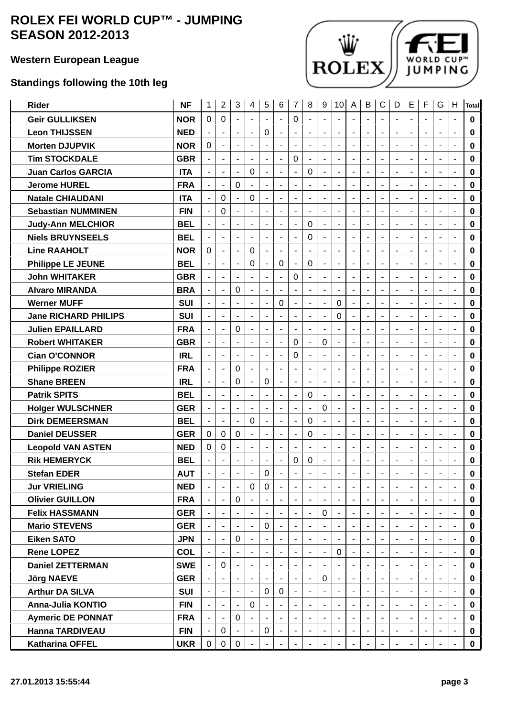### **Western European League**

## **Standings following the 10th leg**



| <b>Rider</b>                | <b>NF</b>  | 1                            | $\overline{2}$           | $\sqrt{3}$                   | 4                        | 5                            | 6                            | $\overline{7}$           | 8                            | 9                            | 10 <sub>1</sub>          | A                        | B                            | $\mathsf C$              | D                        | Е                            | F                        | G                        | H                            | <b>Total</b> |
|-----------------------------|------------|------------------------------|--------------------------|------------------------------|--------------------------|------------------------------|------------------------------|--------------------------|------------------------------|------------------------------|--------------------------|--------------------------|------------------------------|--------------------------|--------------------------|------------------------------|--------------------------|--------------------------|------------------------------|--------------|
| <b>Geir GULLIKSEN</b>       | <b>NOR</b> | 0                            | 0                        |                              |                          |                              | $\blacksquare$               | 0                        | ٠                            |                              | ÷,                       | $\blacksquare$           |                              | -                        | ÷,                       | $\overline{a}$               |                          | $\overline{\phantom{a}}$ | $\overline{\phantom{a}}$     | $\mathbf 0$  |
| <b>Leon THIJSSEN</b>        | <b>NED</b> | $\overline{\phantom{a}}$     |                          | $\overline{\phantom{m}}$     | $\overline{\phantom{a}}$ | 0                            | $\blacksquare$               | $\overline{\phantom{a}}$ | $\overline{\phantom{a}}$     |                              | $\overline{\phantom{a}}$ | $\overline{\phantom{a}}$ | $\overline{\phantom{a}}$     | $\overline{\phantom{a}}$ | $\overline{\phantom{a}}$ | $\overline{a}$               |                          | $\overline{\phantom{a}}$ | $\overline{\phantom{a}}$     | 0            |
| <b>Morten DJUPVIK</b>       | <b>NOR</b> | 0                            | $\overline{\phantom{a}}$ | $\overline{\phantom{m}}$     | $\overline{\phantom{a}}$ | $\blacksquare$               | $\blacksquare$               | $\overline{\phantom{a}}$ | $\overline{\phantom{a}}$     | $\overline{\phantom{m}}$     | $\overline{\phantom{a}}$ | $\blacksquare$           | $\overline{\phantom{a}}$     | $\overline{\phantom{a}}$ | $\overline{\phantom{a}}$ | $\overline{\phantom{a}}$     | $\overline{\phantom{a}}$ | $\blacksquare$           | $\blacksquare$               | 0            |
| <b>Tim STOCKDALE</b>        | <b>GBR</b> | $\blacksquare$               | $\blacksquare$           | ٠                            | $\blacksquare$           | $\blacksquare$               | $\blacksquare$               | 0                        | $\overline{\phantom{a}}$     | $\blacksquare$               | $\blacksquare$           | $\blacksquare$           | $\blacksquare$               | $\blacksquare$           | $\blacksquare$           | $\blacksquare$               |                          | $\blacksquare$           | $\blacksquare$               | 0            |
| <b>Juan Carlos GARCIA</b>   | <b>ITA</b> | $\overline{\phantom{a}}$     | $\overline{\phantom{a}}$ | $\overline{\phantom{a}}$     | $\mathbf 0$              | $\overline{\phantom{a}}$     | $\blacksquare$               | $\overline{\phantom{a}}$ | $\mathbf 0$                  | $\qquad \qquad \blacksquare$ | $\overline{\phantom{a}}$ | $\overline{\phantom{a}}$ | $\overline{\phantom{a}}$     | $\overline{\phantom{a}}$ | $\overline{\phantom{a}}$ | $\qquad \qquad \blacksquare$ | $\blacksquare$           | $\overline{\phantom{a}}$ | $\overline{\phantom{a}}$     | $\mathbf 0$  |
| <b>Jerome HUREL</b>         | <b>FRA</b> | ÷                            |                          | 0                            |                          | $\overline{\phantom{a}}$     | ٠                            | $\overline{\phantom{a}}$ | ۰                            |                              |                          | $\overline{\phantom{a}}$ | $\overline{a}$               | $\overline{\phantom{a}}$ | ÷                        | $\overline{a}$               |                          | ÷                        | $\overline{\phantom{a}}$     | 0            |
| <b>Natale CHIAUDANI</b>     | <b>ITA</b> | $\blacksquare$               | 0                        | $\blacksquare$               | $\pmb{0}$                | $\overline{\phantom{a}}$     | $\overline{\phantom{a}}$     | ۰                        | $\blacksquare$               |                              |                          | $\blacksquare$           | $\overline{\phantom{a}}$     | $\overline{a}$           | $\blacksquare$           | ٠                            |                          | $\overline{a}$           | $\qquad \qquad \blacksquare$ | 0            |
| <b>Sebastian NUMMINEN</b>   | <b>FIN</b> | $\qquad \qquad \blacksquare$ | 0                        |                              | $\overline{a}$           | $\overline{a}$               | ÷                            | ۰                        | $\overline{\phantom{a}}$     |                              | $\overline{\phantom{a}}$ | $\blacksquare$           | $\overline{a}$               | $\overline{a}$           | ÷                        | $\overline{a}$               |                          | $\overline{a}$           | ٠                            | 0            |
| <b>Judy-Ann MELCHIOR</b>    | <b>BEL</b> | ä,                           | $\overline{a}$           | $\qquad \qquad \blacksquare$ | $\overline{\phantom{a}}$ | $\overline{\phantom{a}}$     | $\overline{\phantom{a}}$     | $\overline{\phantom{a}}$ | 0                            | ÷                            | $\overline{\phantom{a}}$ | $\overline{\phantom{a}}$ | $\overline{\phantom{a}}$     | $\overline{\phantom{a}}$ | $\overline{\phantom{a}}$ | $\overline{\phantom{a}}$     |                          | $\overline{\phantom{a}}$ | $\overline{\phantom{a}}$     | 0            |
| <b>Niels BRUYNSEELS</b>     | <b>BEL</b> | $\blacksquare$               | $\overline{\phantom{a}}$ | $\overline{\phantom{a}}$     | $\overline{\phantom{a}}$ | $\blacksquare$               | $\blacksquare$               | $\overline{\phantom{a}}$ | 0                            | $\qquad \qquad \blacksquare$ | $\overline{\phantom{a}}$ | $\blacksquare$           | $\overline{\phantom{a}}$     | $\overline{\phantom{a}}$ | $\overline{\phantom{a}}$ | $\overline{\phantom{a}}$     | $\overline{\phantom{a}}$ | $\overline{\phantom{a}}$ | $\blacksquare$               | 0            |
| <b>Line RAAHOLT</b>         | <b>NOR</b> | 0                            | $\overline{\phantom{a}}$ | $\overline{\phantom{a}}$     | $\mathbf 0$              | $\overline{\phantom{a}}$     | $\overline{\phantom{a}}$     | $\overline{\phantom{a}}$ | $\blacksquare$               | $\blacksquare$               | $\blacksquare$           | $\blacksquare$           | $\blacksquare$               | $\blacksquare$           | $\blacksquare$           | $\blacksquare$               |                          | $\blacksquare$           | $\overline{\phantom{a}}$     | 0            |
| <b>Philippe LE JEUNE</b>    | <b>BEL</b> | ä,                           | $\overline{\phantom{a}}$ | $\overline{\phantom{0}}$     | 0                        | $\blacksquare$               | 0                            | $\overline{\phantom{a}}$ | $\mathbf 0$                  | $\overline{\phantom{m}}$     | $\overline{\phantom{a}}$ | $\blacksquare$           | $\overline{\phantom{a}}$     | $\overline{\phantom{a}}$ | $\overline{\phantom{a}}$ | $\overline{\phantom{a}}$     | $\blacksquare$           | $\blacksquare$           | $\overline{\phantom{a}}$     | 0            |
| <b>John WHITAKER</b>        | <b>GBR</b> | $\overline{\phantom{a}}$     | $\overline{a}$           |                              | $\overline{\phantom{a}}$ | $\overline{\phantom{a}}$     | $\overline{\phantom{a}}$     | $\mathbf 0$              | $\overline{\phantom{a}}$     | $\overline{a}$               | $\overline{\phantom{a}}$ | $\overline{\phantom{a}}$ | $\blacksquare$               | $\overline{\phantom{a}}$ | $\overline{\phantom{a}}$ | $\overline{\phantom{a}}$     |                          | $\overline{\phantom{a}}$ | $\overline{\phantom{a}}$     | 0            |
| <b>Alvaro MIRANDA</b>       | <b>BRA</b> | $\overline{\phantom{a}}$     | ÷                        | $\mathbf 0$                  | $\overline{\phantom{a}}$ | ÷                            | ÷,                           | $\overline{\phantom{a}}$ | $\overline{\phantom{a}}$     |                              |                          | $\blacksquare$           | ÷                            | $\overline{\phantom{a}}$ |                          | ÷                            |                          | $\overline{\phantom{a}}$ | ÷                            | 0            |
| <b>Werner MUFF</b>          | <b>SUI</b> | ٠                            | $\overline{a}$           | ÷                            |                          | ÷                            | 0                            | $\overline{\phantom{a}}$ | $\blacksquare$               |                              | 0                        | $\overline{\phantom{a}}$ | ÷                            | ٠                        | $\overline{\phantom{a}}$ | $\overline{a}$               |                          | ÷                        | ٠                            | 0            |
| <b>Jane RICHARD PHILIPS</b> | <b>SUI</b> | $\overline{\phantom{a}}$     | $\overline{a}$           | $\overline{\phantom{a}}$     | $\overline{\phantom{a}}$ | $\overline{\phantom{a}}$     | $\overline{\phantom{a}}$     | $\overline{\phantom{a}}$ | $\overline{\phantom{a}}$     | ÷                            | 0                        | $\blacksquare$           | $\overline{\phantom{a}}$     | $\blacksquare$           | $\overline{\phantom{a}}$ | $\overline{\phantom{a}}$     |                          | $\overline{\phantom{a}}$ | $\blacksquare$               | 0            |
| <b>Julien EPAILLARD</b>     | <b>FRA</b> | $\blacksquare$               | $\overline{\phantom{a}}$ | 0                            | $\blacksquare$           | $\qquad \qquad \blacksquare$ | $\overline{\phantom{a}}$     | $\overline{\phantom{a}}$ | $\overline{\phantom{a}}$     | $\qquad \qquad \blacksquare$ | $\overline{\phantom{a}}$ | $\blacksquare$           | $\qquad \qquad \blacksquare$ | $\overline{\phantom{a}}$ | $\overline{\phantom{a}}$ | $\qquad \qquad \blacksquare$ | $\overline{\phantom{a}}$ | $\blacksquare$           | $\blacksquare$               | 0            |
| <b>Robert WHITAKER</b>      | <b>GBR</b> | $\blacksquare$               | $\blacksquare$           | $\blacksquare$               | $\blacksquare$           | $\overline{\phantom{a}}$     | $\overline{\phantom{a}}$     | 0                        | $\blacksquare$               | 0                            | $\blacksquare$           | $\blacksquare$           | $\overline{\phantom{a}}$     | $\blacksquare$           | $\blacksquare$           | $\blacksquare$               |                          | $\overline{\phantom{a}}$ | $\blacksquare$               | 0            |
| <b>Cian O'CONNOR</b>        | <b>IRL</b> | $\overline{\phantom{a}}$     | $\blacksquare$           | $\blacksquare$               | $\overline{\phantom{a}}$ | $\blacksquare$               | $\blacksquare$               | 0                        | $\overline{\phantom{a}}$     | $\blacksquare$               | $\blacksquare$           | $\blacksquare$           | $\blacksquare$               | $\blacksquare$           | $\blacksquare$           | $\qquad \qquad \blacksquare$ | $\blacksquare$           | $\blacksquare$           | $\overline{\phantom{a}}$     | 0            |
| <b>Philippe ROZIER</b>      | <b>FRA</b> | $\overline{\phantom{a}}$     | $\overline{\phantom{a}}$ | $\mathbf 0$                  | $\overline{\phantom{a}}$ | $\overline{\phantom{a}}$     | $\overline{\phantom{a}}$     | $\blacksquare$           | $\overline{\phantom{a}}$     | $\overline{a}$               | $\blacksquare$           | $\overline{\phantom{a}}$ | $\blacksquare$               | $\overline{\phantom{a}}$ | $\overline{\phantom{a}}$ | $\overline{\phantom{a}}$     |                          | $\blacksquare$           | $\overline{\phantom{a}}$     | 0            |
| <b>Shane BREEN</b>          | <b>IRL</b> | ÷,                           | ä,                       | 0                            | $\blacksquare$           | 0                            | $\blacksquare$               | $\overline{\phantom{a}}$ |                              |                              |                          | ÷,                       | ÷                            | $\blacksquare$           |                          | ÷                            |                          | $\overline{\phantom{a}}$ | ÷                            | 0            |
| <b>Patrik SPITS</b>         | <b>BEL</b> | ٠                            | $\overline{a}$           | $\overline{a}$               |                          | $\overline{a}$               | ٠                            | ٠                        | 0                            |                              | $\overline{\phantom{a}}$ | $\overline{a}$           | ٠                            | $\overline{a}$           | $\blacksquare$           | ٠                            |                          | ÷                        | $\overline{a}$               | 0            |
| <b>Holger WULSCHNER</b>     | <b>GER</b> | $\overline{\phantom{a}}$     | $\overline{a}$           |                              |                          | $\overline{\phantom{a}}$     | ٠                            | $\overline{\phantom{a}}$ | $\qquad \qquad \blacksquare$ | $\mathbf 0$                  |                          | $\overline{\phantom{a}}$ | $\overline{\phantom{a}}$     | $\overline{\phantom{a}}$ | ÷                        | $\overline{a}$               |                          | $\overline{\phantom{a}}$ | $\overline{\phantom{a}}$     | 0            |
| <b>Dirk DEMEERSMAN</b>      | <b>BEL</b> | $\blacksquare$               | $\overline{\phantom{a}}$ | $\qquad \qquad \blacksquare$ | $\pmb{0}$                | $\blacksquare$               | $\blacksquare$               | $\blacksquare$           | 0                            | $\overline{\phantom{a}}$     | $\overline{\phantom{a}}$ | $\blacksquare$           | $\overline{\phantom{a}}$     | $\overline{\phantom{a}}$ | $\blacksquare$           | $\overline{\phantom{a}}$     |                          | $\blacksquare$           | $\overline{\phantom{a}}$     | 0            |
| <b>Daniel DEUSSER</b>       | <b>GER</b> | 0                            | 0                        | 0                            | $\overline{\phantom{a}}$ | ÷,                           | $\qquad \qquad \blacksquare$ | $\overline{\phantom{a}}$ | 0                            |                              | $\blacksquare$           | $\overline{\phantom{a}}$ | $\overline{a}$               | $\overline{\phantom{a}}$ | $\overline{\phantom{a}}$ | $\overline{\phantom{a}}$     |                          | $\overline{\phantom{a}}$ | $\overline{\phantom{a}}$     | 0            |
| <b>Leopold VAN ASTEN</b>    | <b>NED</b> | 0                            | $\mathbf 0$              | $\blacksquare$               | $\overline{\phantom{a}}$ | $\overline{\phantom{a}}$     | $\blacksquare$               | $\overline{\phantom{a}}$ | $\overline{\phantom{a}}$     | $\qquad \qquad \blacksquare$ | $\overline{\phantom{a}}$ | $\blacksquare$           | $\overline{\phantom{a}}$     | $\overline{\phantom{a}}$ | $\overline{\phantom{a}}$ | $\qquad \qquad \blacksquare$ | $\blacksquare$           | $\blacksquare$           | $\overline{\phantom{a}}$     | 0            |
| <b>Rik HEMERYCK</b>         | <b>BEL</b> |                              |                          |                              | $\blacksquare$           | $\overline{\phantom{a}}$     | $\blacksquare$               | 0                        | 0                            |                              |                          | $\overline{\phantom{a}}$ | $\blacksquare$               | $\blacksquare$           | $\overline{\phantom{a}}$ | $\blacksquare$               |                          | ٠                        | $\overline{\phantom{a}}$     | 0            |
| <b>Stefan EDER</b>          | <b>AUT</b> | $\overline{\phantom{a}}$     | ä,                       | $\qquad \qquad \blacksquare$ | $\overline{\phantom{a}}$ | 0                            | $\blacksquare$               |                          | ÷                            |                              |                          | ÷,                       | $\blacksquare$               | $\overline{\phantom{a}}$ | $\overline{\phantom{a}}$ | $\overline{a}$               |                          | $\overline{\phantom{a}}$ | $\blacksquare$               | 0            |
| <b>Jur VRIELING</b>         | <b>NED</b> | ۰                            |                          | -                            | 0                        | 0                            |                              |                          |                              |                              | ٠                        | ٠                        |                              | ٠                        |                          |                              |                          | ٠                        | $\overline{\phantom{a}}$     | 0            |
| <b>Olivier GUILLON</b>      | <b>FRA</b> |                              |                          | $\mathbf 0$                  |                          |                              |                              |                          |                              |                              |                          |                          |                              |                          |                          |                              |                          |                          |                              | 0            |
| <b>Felix HASSMANN</b>       | <b>GER</b> | $\blacksquare$               | -                        |                              | $\blacksquare$           | $\blacksquare$               | ۰                            | $\blacksquare$           | ٠                            | 0                            |                          | ٠                        | ۰                            | ۰                        | $\overline{\phantom{a}}$ | $\blacksquare$               |                          |                          | $\blacksquare$               | 0            |
| <b>Mario STEVENS</b>        | <b>GER</b> |                              |                          |                              | $\blacksquare$           | 0                            | $\overline{\phantom{a}}$     | $\overline{\phantom{a}}$ | $\blacksquare$               |                              |                          |                          |                              | $\blacksquare$           | $\overline{\phantom{a}}$ |                              |                          | $\blacksquare$           | $\blacksquare$               | 0            |
| <b>Eiken SATO</b>           | <b>JPN</b> | $\blacksquare$               | $\overline{\phantom{a}}$ | 0                            | $\blacksquare$           | $\blacksquare$               | $\blacksquare$               | $\blacksquare$           | $\blacksquare$               | $\overline{\phantom{a}}$     | $\blacksquare$           | $\blacksquare$           | $\blacksquare$               | $\blacksquare$           | $\blacksquare$           | $\blacksquare$               | $\blacksquare$           | $\blacksquare$           | $\blacksquare$               | 0            |
| <b>Rene LOPEZ</b>           | <b>COL</b> |                              |                          |                              | $\blacksquare$           |                              |                              | $\blacksquare$           | $\overline{\phantom{a}}$     |                              | 0                        |                          |                              | ٠                        | $\blacksquare$           |                              |                          |                          | $\overline{\phantom{a}}$     | 0            |
| <b>Daniel ZETTERMAN</b>     | <b>SWE</b> | $\blacksquare$               | 0                        | ٠                            | $\overline{\phantom{a}}$ | $\blacksquare$               | $\blacksquare$               | $\overline{\phantom{a}}$ | $\overline{\phantom{a}}$     | $\blacksquare$               | $\blacksquare$           | $\blacksquare$           | $\blacksquare$               | $\overline{\phantom{a}}$ | $\overline{\phantom{a}}$ | $\blacksquare$               | $\blacksquare$           | $\blacksquare$           | $\overline{\phantom{a}}$     | 0            |
| <b>Jörg NAEVE</b>           | <b>GER</b> |                              |                          |                              | $\overline{\phantom{a}}$ |                              |                              | $\blacksquare$           |                              | 0                            |                          |                          |                              |                          | $\blacksquare$           |                              |                          |                          | $\overline{\phantom{a}}$     | 0            |
| <b>Arthur DA SILVA</b>      | <b>SUI</b> |                              |                          |                              |                          | 0                            | $\mathbf 0$                  | ۰                        | $\overline{\phantom{a}}$     |                              |                          |                          |                              |                          |                          |                              |                          |                          |                              | 0            |
| <b>Anna-Julia KONTIO</b>    | <b>FIN</b> | ۰                            |                          |                              | 0                        |                              | ۰                            | ۰                        | -                            |                              |                          |                          |                              | ۰                        | ۰                        | ٠                            |                          | $\blacksquare$           | ٠                            | 0            |
| <b>Aymeric DE PONNAT</b>    | <b>FRA</b> |                              |                          | 0                            |                          |                              |                              | $\blacksquare$           |                              |                              |                          |                          |                              | $\overline{\phantom{a}}$ | $\blacksquare$           |                              |                          | $\blacksquare$           | $\blacksquare$               | 0            |
| Hanna TARDIVEAU             | <b>FIN</b> | $\sim$                       | 0                        |                              | $\blacksquare$           | $\overline{0}$               | $\blacksquare$               | $\blacksquare$           | $\blacksquare$               |                              |                          | $\blacksquare$           | ۰                            | $\blacksquare$           | $\blacksquare$           | $\blacksquare$               | $\blacksquare$           |                          | $\blacksquare$               | 0            |
| <b>Katharina OFFEL</b>      | <b>UKR</b> | $\mathbf 0$                  | $\mathbf 0$              | $\mathbf 0$                  |                          |                              | ٠                            | $\blacksquare$           |                              |                              |                          |                          |                              | ٠                        | $\overline{\phantom{a}}$ |                              | $\blacksquare$           |                          | $\blacksquare$               | $\mathbf 0$  |